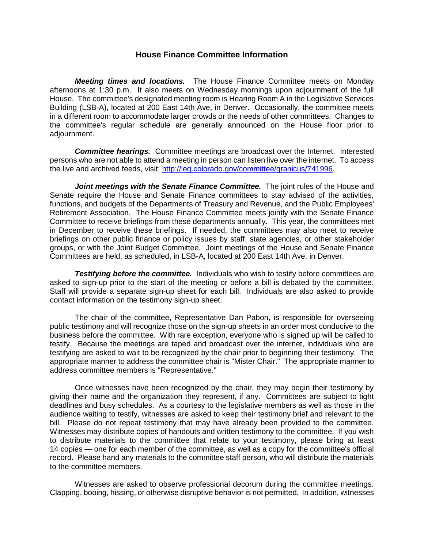## **House Finance Committee Information**

*Meeting times and locations.* The House Finance Committee meets on Monday afternoons at 1:30 p.m. It also meets on Wednesday mornings upon adjournment of the full House. The committee's designated meeting room is Hearing Room A in the Legislative Services Building (LSB-A), located at 200 East 14th Ave, in Denver. Occasionally, the committee meets in a different room to accommodate larger crowds or the needs of other committees. Changes to the committee's regular schedule are generally announced on the House floor prior to adjournment.

*Committee hearings.* Committee meetings are broadcast over the Internet. Interested persons who are not able to attend a meeting in person can listen live over the internet. To access the live and archived feeds, visit: [http://leg.colorado.gov/committee/granicus/741996.](http://leg.colorado.gov/committee/granicus/741996)

*Joint meetings with the Senate Finance Committee.* The joint rules of the House and Senate require the House and Senate Finance committees to stay advised of the activities, functions, and budgets of the Departments of Treasury and Revenue, and the Public Employees' Retirement Association. The House Finance Committee meets jointly with the Senate Finance Committee to receive briefings from these departments annually. This year, the committees met in December to receive these briefings. If needed, the committees may also meet to receive briefings on other public finance or policy issues by staff, state agencies, or other stakeholder groups, or with the Joint Budget Committee. Joint meetings of the House and Senate Finance Committees are held, as scheduled, in LSB-A, located at 200 East 14th Ave, in Denver.

*Testifying before the committee.* Individuals who wish to testify before committees are asked to sign-up prior to the start of the meeting or before a bill is debated by the committee. Staff will provide a separate sign-up sheet for each bill. Individuals are also asked to provide contact information on the testimony sign-up sheet.

The chair of the committee, Representative Dan Pabon, is responsible for overseeing public testimony and will recognize those on the sign-up sheets in an order most conducive to the business before the committee. With rare exception, everyone who is signed up will be called to testify. Because the meetings are taped and broadcast over the internet, individuals who are testifying are asked to wait to be recognized by the chair prior to beginning their testimony. The appropriate manner to address the committee chair is "Mister Chair." The appropriate manner to address committee members is "Representative."

Once witnesses have been recognized by the chair, they may begin their testimony by giving their name and the organization they represent, if any. Committees are subject to tight deadlines and busy schedules. As a courtesy to the legislative members as well as those in the audience waiting to testify, witnesses are asked to keep their testimony brief and relevant to the bill. Please do not repeat testimony that may have already been provided to the committee. Witnesses may distribute copies of handouts and written testimony to the committee. If you wish to distribute materials to the committee that relate to your testimony, please bring at least 14 copies — one for each member of the committee, as well as a copy for the committee's official record. Please hand any materials to the committee staff person, who will distribute the materials to the committee members.

Witnesses are asked to observe professional decorum during the committee meetings. Clapping, booing, hissing, or otherwise disruptive behavior is not permitted. In addition, witnesses